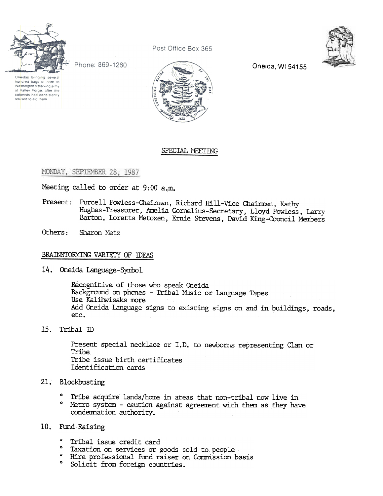

Phone: 869-1260

Oneidas bringing several<br>hundred bags of corn to Washington's starving army at Valley Forge, after the<br>colonists had consistently refused to aid them



Post Office Box 365

Oneida, WI 54155

## SPECIAL MEETING

#### MONDAY, SEPTEMBER 28, 1987

Meeting called to order at 9:00 a.m.

- Present: Purcell Powless-Chairman, Richard Hill-Vice Chairman, Kathy HUghes-Treasurer, Amelia Cornelius-Secretary, Lloyd Powless, Larry Barton, Loretta Metoxen, Ernie Stevens, David King-Council Members
- Others: Sharon Metz

#### BRAINSTORMING VARIETY OF IDEAS

Oneida Language-Symbol

Recognitive of those who speak Oneida Background on phones - Tribal Music or Language Tapes Use Kaliliwisaks more Add Oneida Language signs to existing signs on and in buildings, roads, etc.

15. Tribal ID

Present special necklace or I.D. to newborns representing Clan or Tribe Tribe issue birth certificates Identification cards

- - 0 Tribe acquire lands/home in areas that non-tribal now live in
- 21. Blockbustli<br>
 Tribe a<br>
 Metro sy<br>
condemn<br>
10. Fund Raisi<br>
 Tribal<br>
 Taxatio<br>
 Hire pro<br>
 Solicit 0 Metro system - caution against agreement with them as they have condemnation authority.

# 10. Fund Raisin<br>
° Tribal i<br>
° Taxation<br>
° Hire pro<br>
° Solicit

- 0 Tribal issue credit card
- 0 Taxation on services or goods sold to people
- 0 llire professional fund raiser on Commission basis
- 0 Solicit from foreign countries.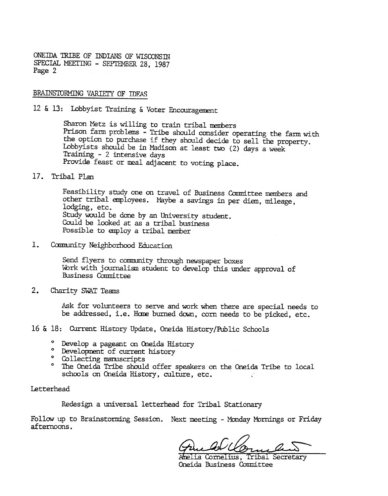ONEIDA TRIBE OF INDIANS OF WISCONSTN SPECIAL MEETING - SEPTEMBER 28, 1987 Page 2

#### BRAmSTORMING VARIEIY OF IDEAS

12 & 13: Lobbyist Training & Voter Encouragement

Sharon Metz is willing to train tribal members Prison farm problems - Tribe should consider operating the farm with the option to purchase if they should decide to sell the property. Lobbyists should be in Madison at least two (2) days a week Training -2 intensive days Provide feast or meal adjacent to voting place.

#### 17. Tribal Plan

Feasibility study one on travel of Business Committee members and other tribal employees. Maybe a savings in per diem, mileage, lodging, etc. Study would be done by an University student. Could be looked at as a tribal business Possible to employ a tribal member

 $1.$ Camunity Neighborhood Education

> Send flyers to community through newspaper boxes Work with journalism student to develop this under approval of Business Comnittee

2. Charity SWAT Teams

Ask for volunteers to serve and work when there are special needs to be addressed, i.e. Home burned down, corn needs to be pidked, etc.

16 & 18: Current History Update, Oneida History/Public Schools

- ° Develop a pageant on Oneida Histor
- ° Development of current histor
- ° Collecting manuscripts
- $\mathbf c$ The Oneida Tribe should offer speakers on the Oneida Tribe to local schools on Oneida History, culture, etc.

#### Letterhead

Redesign a universal letterhead for Tribal Stationary

Follow up to Brainstorming Session. Next meeting - Monday Mornings or Friday afternoons.

Amelia Cornelius, Oneida Business Comnittee